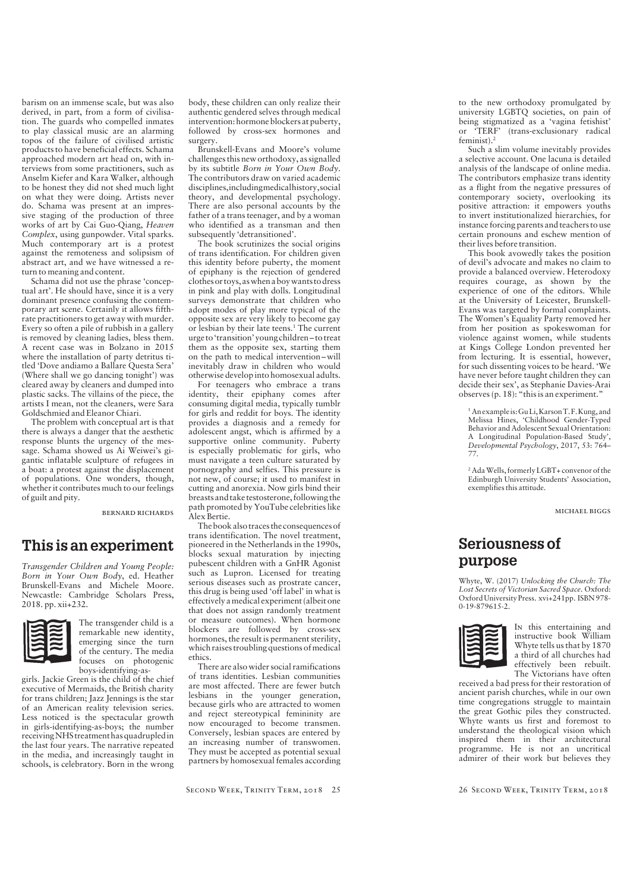barism on an immense scale, but was also derived, in part, from a form of civilisa tion. The guards who compelled inmates to play classical music are an alarming topos of the failure of civilised artistic products to have beneficial effects. Schama approached modern art head on, with in terviews from some practitioners, such as Anselm Kiefer and Kara Walker, although to be honest they did not shed much light on what they were doing. Artists never do. Schama was present at an impres sive staging of the production of three works of art by Cai Guo-Qiang, *Heaven Complex*, using gunpowder. Vital sparks. Much contemporary art is a protest against the remoteness and solipsism of abstract art, and we have witnessed a re turn to meaning and content.

Schama did not use the phrase 'concep tual art'. He should have, since it is a very dominant presence confusing the contem porary art scene. Certainly it allows fifthrate practitioners to get away with murder. Every so often a pile of rubbish in a gallery is removed by cleaning ladies, bless them. A recent case was in Bolzano in 2015 where the installation of party detritus ti tled 'Dove andiamo a Ballare Questa Sera' (Where shall we go dancing tonight') was cleared away by cleaners and dumped into plastic sacks. The villains of the piece, the artists I mean, not the cleaners, were Sara Goldschmied and Eleanor Chiari.

The problem with conceptual art is that there is always a danger that the aesthetic response blunts the urgency of the mes sage. Schama showed us Ai Weiwei's gi gantic inflatable sculpture of refugees in a boat: a protest against the displacement of populations. One wonders, though, whether it contributes much to our feelings of guilt and pity.

bernard richards

## **This is an experiment**

*Transgender Children and Young People: Born in Your Own Body*, ed. Heather Brunskell-Evans and Michele Moore. Newcastle: Cambridge Scholars Press, 2018. pp. xii+232.



The transgender child is a remarkable new identity, emerging since the turn of the century. The media focuses on photogenic boys-identifying-as-

girls. Jackie Green is the child of the chief executive of Mermaids, the British charity for trans children; Jazz Jennings is the star of an American reality television series. Less noticed is the spectacular growth in girls-identifying-as-boys; the number receiving NHS treatment has quadrupled in the last four years. The narrative repeated in the media, and increasingly taught in schools, is celebratory. Born in the wrong body, these children can only realize their authentic gendered selves through medical intervention: hormone blockers at puberty, followed by cross-sex hormones and surgery.

Brunskell-Evans and Moore's volume challenges this new orthodoxy, as signalled by its subtitle *Born in Your Own Body*. The contributors draw on varied academic disciplines, including medical history, social theory, and developmental psychology. There are also personal accounts by the father of a trans teenager, and by a woman who identified as a transman and then subsequently 'detransitioned'.

The book scrutinizes the social origins of trans identification. For children given this identity before puberty, the moment of epiphany is the rejection of gendered clothes or toys, as when a boy wants to dress in pink and play with dolls. Longitudinal surveys demonstrate that children who adopt modes of play more typical of the opposite sex are very likely to become gay or lesbian by their late teens. 1 The current urge to 'transition' young children –to treat them as the opposite sex, starting them on the path to medical intervention –will inevitably draw in children who would otherwise develop into homosexual adults.

For teenagers who embrace a trans identity, their epiphany comes after consuming digital media, typically tumblr for girls and reddit for boys. The identity provides a diagnosis and a remedy for adolescent angst, which is affirmed by a supportive online community. Puberty is especially problematic for girls, who must navigate a teen culture saturated by pornography and selfies. This pressure is not new, of course; it used to manifest in cutting and anorexia. Now girls bind their breasts and take testosterone, following the path promoted by YouTube celebrities like Alex Bertie.

The book also traces the consequences of trans identification. The novel treatment, pioneered in the Netherlands in the 1990s, blocks sexual maturation by injecting pubescent children with a GnHR Agonist such as Lupron. Licensed for treating serious diseases such as prostrate cancer, this drug is being used 'off label' in what is effectively a medical experiment (albeit one that does not assign randomly treatment or measure outcomes). When hormone blockers are followed by cross-sex hormones, the result is permanent sterility, which raises troubling questions of medical ethics.

There are also wider social ramifications of trans identities. Lesbian communities are most affected. There are fewer butch lesbians in the younger generation, because girls who are attracted to women and reject stereotypical femininity are now encouraged to become transmen. Conversely, lesbian spaces are entered by an increasing number of transwomen. They must be accepted as potential sexual partners by homosexual females according to the new orthodoxy promulgated by university LGBTQ societies, on pain of being stigmatized as a 'vagina fetishist' or 'TERF' (trans-exclusionary radical feminist). 2

Such a slim volume inevitably provides a selective account. One lacuna is detailed analysis of the landscape of online media. The contributors emphasize trans identity as a flight from the negative pressures of contemporary society, overlooking its positive attraction: it empowers youths to invert institutionalized hierarchies, for instance forcing parents and teachers to use certain pronouns and eschew mention of their lives before transition.

This book avowedly takes the position of devil's advocate and makes no claim to provide a balanced overview. Heterodoxy requires courage, as shown by the experience of one of the editors. While at the University of Leicester, Brunskell-Evans was targeted by formal complaints. The Women's Equality Party removed her from her position as spokeswoman for violence against women, while students at Kings College London prevented her from lecturing. It is essential, however, for such dissenting voices to be heard. 'We have never before taught children they can decide their sex', as Stephanie Davies-Arai observes (p. 18): "this is an experiment."

<sup>1</sup> An example is: Gu Li, Karson T. F. Kung, and Melissa Hines, 'Childhood Gender-Typed Behavior and Adolescent Sexual Orientation: A Longitudinal Population-Based Study', *Developmental Psychology*, 2017, 53: 764– 77.

<sup>2</sup> Ada Wells, formerly LGBT+ convenor of the Edinburgh University Students' Association, exemplifies this attitude.

michael biggs

## **Seriousness of purpose**

Whyte, W. (2017) *Unlocking the Church: The Lost Secrets of Victorian Sacred Space.* Oxford: Oxford University Press. xvi+241pp. ISBN 978- 0-19-879615-2.



I n this entertaining and instructive book William Whyte tells us that by 1870 a third of all churches had effectively been rebuilt. The Victorians have often

received a bad press for their restoration of ancient parish churches, while in our own time congregations struggle to maintain the great Gothic piles they constructed. Whyte wants us first and foremost to understand the theological vision which inspired them in their architectural programme. He is not an uncritical admirer of their work but believes they

26 Second Week, Trinity Term, 2018